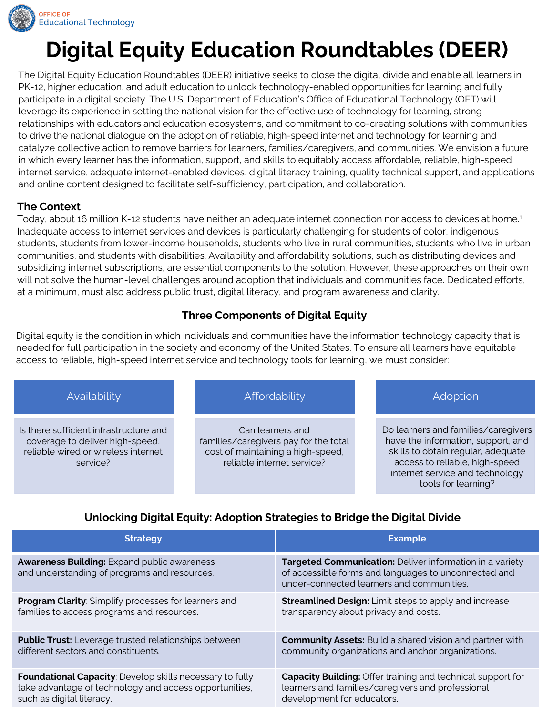

# **Digital Equity Education Roundtables (DEER)**

The Digital Equity Education Roundtables (DEER) initiative seeks to close the digital divide and enable all learners in PK-12, higher education, and adult education to unlock technology-enabled opportunities for learning and fully participate in a digital society. The U.S. Department of Education's Office of Educational Technology (OET) will leverage its experience in setting the national vision for the effective use of technology for learning, strong relationships with educators and education ecosystems, and commitment to co-creating solutions with communities to drive the national dialogue on the adoption of reliable, high-speed internet and technology for learning and catalyze collective action to remove barriers for learners, families/caregivers, and communities. We envision a future in which every learner has the information, support, and skills to equitably access affordable, reliable, high-speed internet service, adequate internet-enabled devices, digital literacy training, quality technical support, and applications and online content designed to facilitate self-sufficiency, participation, and collaboration.

#### **The Context**

Today, about 16 million K-12 students have neither an adequate internet connection nor access to devices at home.1 Inadequate access to internet services and devices is particularly challenging for students of color, indigenous students, students from lower-income households, students who live in rural communities, students who live in urban communities, and students with disabilities. Availability and affordability solutions, such as distributing devices and subsidizing internet subscriptions, are essential components to the solution. However, these approaches on their own will not solve the human-level challenges around adoption that individuals and communities face. Dedicated efforts, at a minimum, must also address public trust, digital literacy, and program awareness and clarity.

### **Three Components of Digital Equity**

Digital equity is the condition in which individuals and communities have the information technology capacity that is needed for full participation in the society and economy of the United States. To ensure all learners have equitable access to reliable, high-speed internet service and technology tools for learning, we must consider:

| Availability                                                                                                                 | Affordability                                                                                                                | Adoption                                                                                                                                                                                                    |
|------------------------------------------------------------------------------------------------------------------------------|------------------------------------------------------------------------------------------------------------------------------|-------------------------------------------------------------------------------------------------------------------------------------------------------------------------------------------------------------|
| Is there sufficient infrastructure and<br>coverage to deliver high-speed,<br>reliable wired or wireless internet<br>service? | Can learners and<br>families/caregivers pay for the total<br>cost of maintaining a high-speed,<br>reliable internet service? | Do learners and families/caregivers<br>have the information, support, and<br>skills to obtain regular, adequate<br>access to reliable, high-speed<br>internet service and technology<br>tools for learning? |

# **Unlocking Digital Equity: Adoption Strategies to Bridge the Digital Divide**

| <b>Strategy</b>                                                                                    | <b>Example</b>                                                                                                                                                |
|----------------------------------------------------------------------------------------------------|---------------------------------------------------------------------------------------------------------------------------------------------------------------|
| <b>Awareness Building: Expand public awareness</b><br>and understanding of programs and resources. | Targeted Communication: Deliver information in a variety<br>of accessible forms and languages to unconnected and<br>under-connected learners and communities. |
| <b>Program Clarity:</b> Simplify processes for learners and                                        | <b>Streamlined Design:</b> Limit steps to apply and increase                                                                                                  |
| families to access programs and resources.                                                         | transparency about privacy and costs.                                                                                                                         |
| <b>Public Trust:</b> Leverage trusted relationships between                                        | <b>Community Assets:</b> Build a shared vision and partner with                                                                                               |
| different sectors and constituents.                                                                | community organizations and anchor organizations.                                                                                                             |
| <b>Foundational Capacity:</b> Develop skills necessary to fully                                    | <b>Capacity Building: Offer training and technical support for</b>                                                                                            |
| take advantage of technology and access opportunities,                                             | learners and families/caregivers and professional                                                                                                             |
| such as digital literacy.                                                                          | development for educators.                                                                                                                                    |